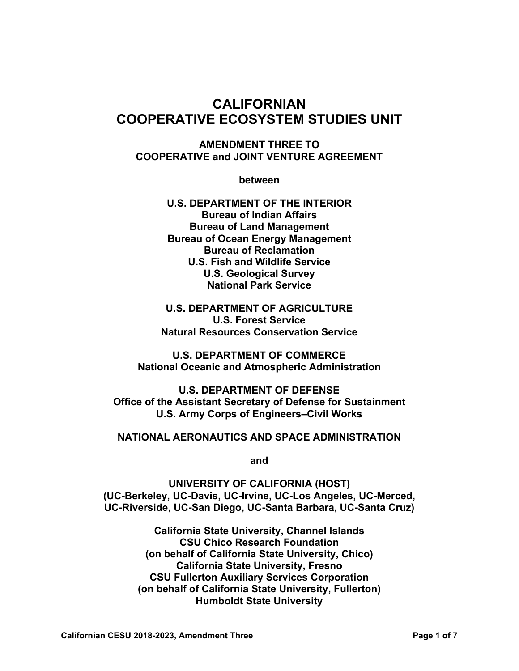# **CALIFORNIAN COOPERATIVE ECOSYSTEM STUDIES UNIT**

**AMENDMENT THREE TO COOPERATIVE and JOINT VENTURE AGREEMENT** 

**between** 

**U.S. DEPARTMENT OF THE INTERIOR Bureau of Indian Affairs Bureau of Land Management Bureau of Ocean Energy Management Bureau of Reclamation U.S. Fish and Wildlife Service U.S. Geological Survey National Park Service** 

**U.S. DEPARTMENT OF AGRICULTURE U.S. Forest Service Natural Resources Conservation Service** 

**U.S. DEPARTMENT OF COMMERCE National Oceanic and Atmospheric Administration** 

**U.S. DEPARTMENT OF DEFENSE Office of the Assistant Secretary of Defense for Sustainment U.S. Army Corps of Engineers–Civil Works** 

#### **NATIONAL AERONAUTICS AND SPACE ADMINISTRATION**

**and** 

**UNIVERSITY OF CALIFORNIA (HOST) (UC-Berkeley, UC-Davis, UC-Irvine, UC-Los Angeles, UC-Merced, UC-Riverside, UC-San Diego, UC-Santa Barbara, UC-Santa Cruz)** 

> **California State University, Channel Islands CSU Chico Research Foundation (on behalf of California State University, Chico) California State University, Fresno CSU Fullerton Auxiliary Services Corporation (on behalf of California State University, Fullerton) Humboldt State University**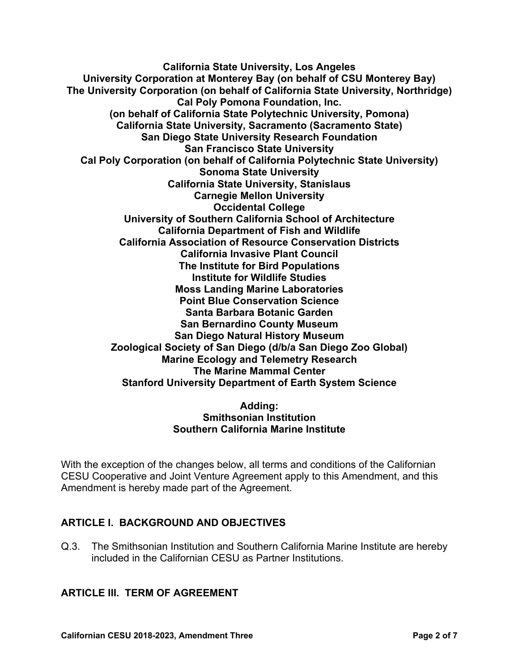**California State University, Los Angeles University Corporation at Monterey Bay (on behalf of CSU Monterey Bay) The University Corporation (on behalf of California State University, Northridge) Cal Poly Pomona Foundation, Inc. (on behalf of California State Polytechnic University, Pomona) California State University, Sacramento (Sacramento State) San Diego State University Research Foundation San Francisco State University Cal Poly Corporation (on behalf of California Polytechnic State University) Sonoma State University California State University, Stanislaus Carnegie Mellon University Occidental College University of Southern California School of Architecture California Department of Fish and Wildlife California Association of Resource Conservation Districts California Invasive Plant Council The Institute for Bird Populations Institute for Wildlife Studies Moss Landing Marine Laboratories Point Blue Conservation Science Santa Barbara Botanic Garden San Bernardino County Museum San Diego Natural History Museum Zoological Society of San Diego (d/b/a San Diego Zoo Global) Marine Ecology and Telemetry Research The Marine Mammal Center Stanford University Department of Earth System Science** 

#### **Adding: Smithsonian Institution Southern California Marine Institute**

With the exception of the changes below, all terms and conditions of the Californian CESU Cooperative and Joint Venture Agreement apply to this Amendment, and this Amendment is hereby made part of the Agreement.

### **ARTICLE I. BACKGROUND AND OBJECTIVES**

Q.3. The Smithsonian Institution and Southern California Marine Institute are hereby included in the Californian CESU as Partner Institutions.

#### **ARTICLE III. TERM OF AGREEMENT**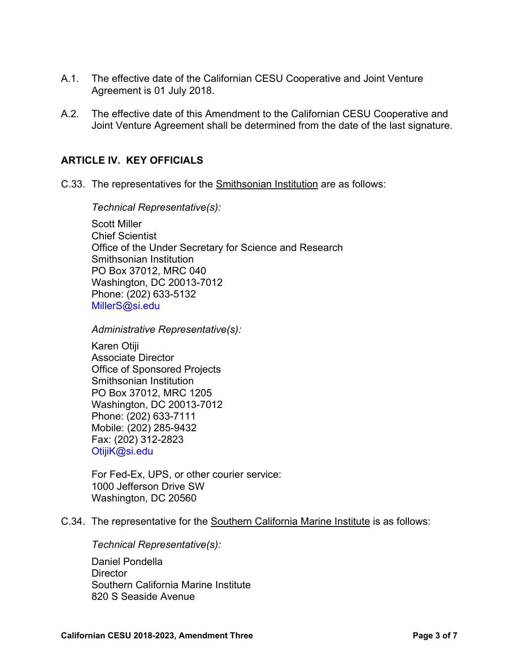- A.1. The effective date of the Californian CESU Cooperative and Joint Venture Agreement is 01 July 2018.
- A.2. The effective date of this Amendment to the Californian CESU Cooperative and Joint Venture Agreement shall be determined from the date of the last signature.

#### **ARTICLE IV. KEY OFFICIALS**

C.33. The representatives for the Smithsonian Institution are as follows:

*Technical Representative(s):* 

Scott Miller Chief Scientist Office of the Under Secretary for Science and Research Smithsonian Institution PO Box 37012, MRC 040 Washington, DC 20013-7012 Phone: (202) 633-5132 MillerS@si.edu

*Administrative Representative(s):* 

Karen Otiji Associate Director Office of Sponsored Projects Smithsonian Institution PO Box 37012, MRC 1205 Washington, DC 20013-7012 Phone: (202) 633-7111 Mobile: (202) 285-9432 Fax: (202) 312-2823 OtijiK@si.edu

For Fed-Ex, UPS, or other courier service: 1000 Jefferson Drive SW Washington, DC 20560

C.34. The representative for the Southern California Marine Institute is as follows:

*Technical Representative(s):*  Daniel Pondella **Director** Southern California Marine Institute 820 S Seaside Avenue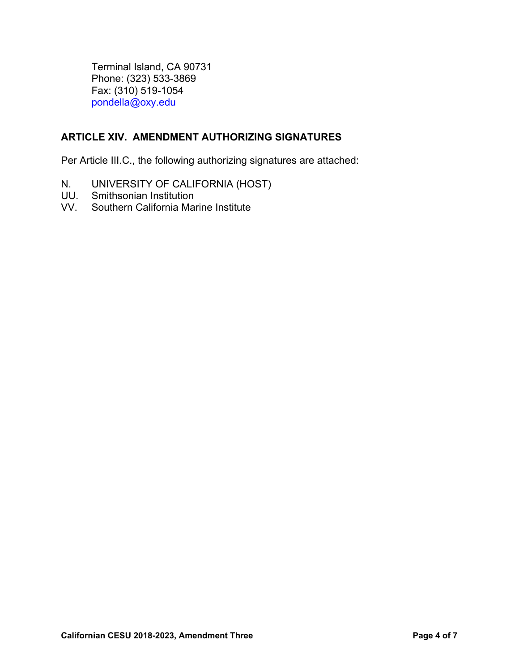Terminal Island, CA 90731 Phone: (323) 533-3869 Fax: (310) 519-1054 pondella@oxy.edu

### **ARTICLE XIV. AMENDMENT AUTHORIZING SIGNATURES**

Per Article III.C., the following authorizing signatures are attached:

- N. UNIVERSITY OF CALIFORNIA (HOST)
- UU. Smithsonian Institution
- VV. Southern California Marine Institute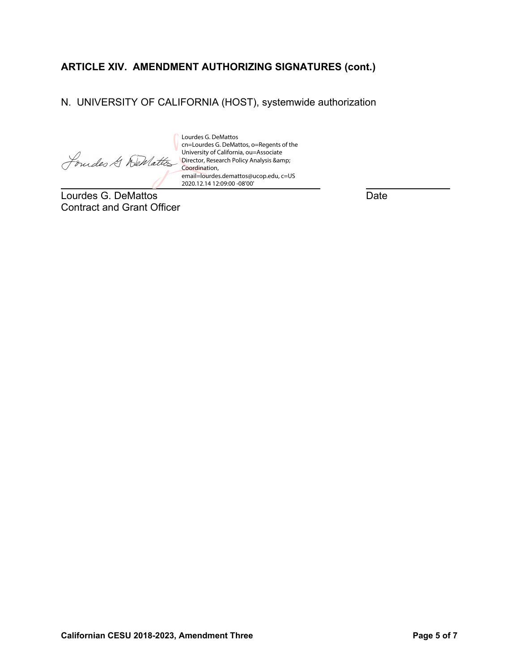## **ARTICLE XIV. AMENDMENT AUTHORIZING SIGNATURES (cont.)**

### N. UNIVERSITY OF CALIFORNIA (HOST), systemwide authorization

 $\overline{a}$ 

cn=Lourdes G. DeMattos, o=Regents of the University of California, ou=Associate Director, Research Policy Analysis & Coordination, email=lourdes.demattos@ucop.edu, c=US 2020.12.14 12:09:00 -08'00'

Lourdes G. DeMattos

Lourdes G. DeMattos **Date** Contract and Grant Officer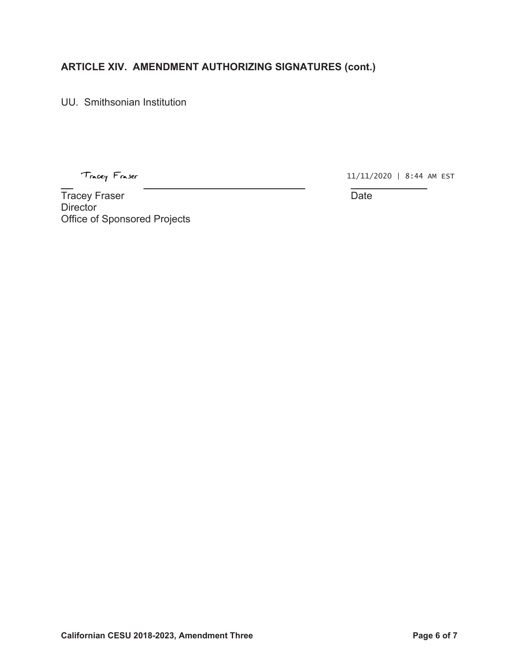## **ARTICLE XIV. AMENDMENT AUTHORIZING SIGNATURES (cont.)**

UU. Smithsonian Institution

Tracey Fraser

 $\overline{a}$ 

11/11/2020 | 8:44 AM EST

Tracey Fraser National Contract of the United States of the Date Date **Director** Office of Sponsored Projects